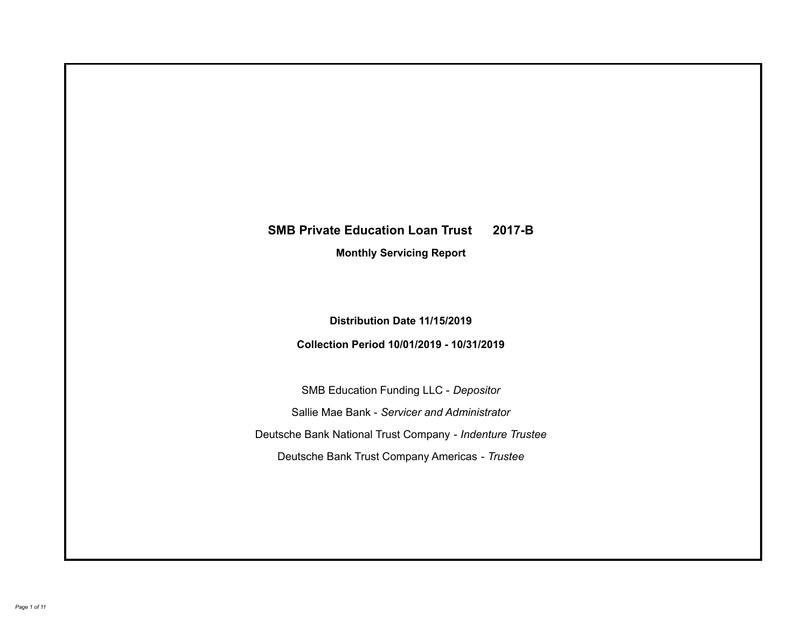# **SMB Private Education Loan Trust 2017-B Monthly Servicing Report**

### **Distribution Date 11/15/2019**

## **Collection Period 10/01/2019 - 10/31/2019**

SMB Education Funding LLC - *Depositor* Sallie Mae Bank - *Servicer and Administrator* Deutsche Bank National Trust Company - *Indenture Trustee* Deutsche Bank Trust Company Americas - *Trustee*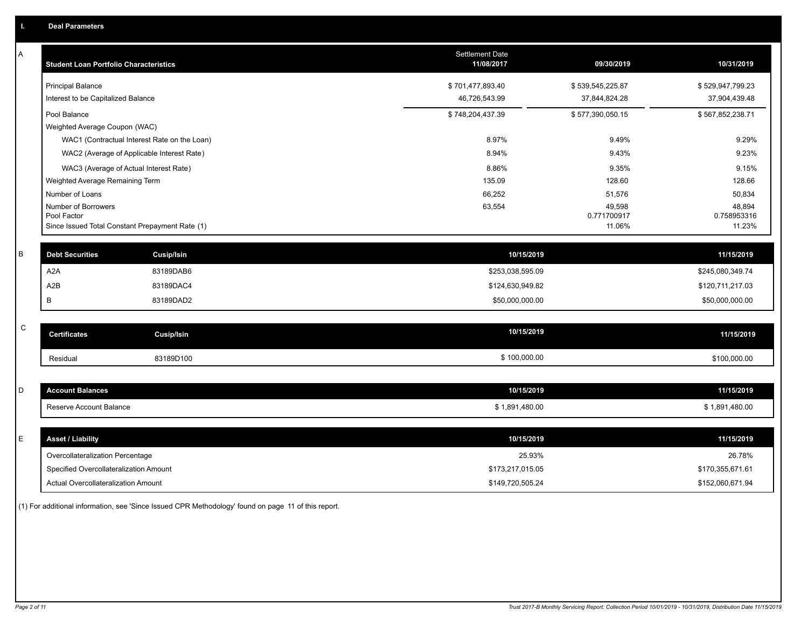| А | <b>Student Loan Portfolio Characteristics</b>                  |                                              | <b>Settlement Date</b><br>11/08/2017 | 09/30/2019            | 10/31/2019            |
|---|----------------------------------------------------------------|----------------------------------------------|--------------------------------------|-----------------------|-----------------------|
|   | <b>Principal Balance</b>                                       |                                              | \$701,477,893.40                     | \$539,545,225.87      | \$529,947,799.23      |
|   | Interest to be Capitalized Balance                             |                                              | 46,726,543.99                        | 37,844,824.28         | 37,904,439.48         |
|   | Pool Balance                                                   |                                              | \$748,204,437.39                     | \$577,390,050.15      | \$567,852,238.71      |
|   | Weighted Average Coupon (WAC)                                  |                                              |                                      |                       |                       |
|   |                                                                | WAC1 (Contractual Interest Rate on the Loan) | 8.97%                                | 9.49%                 | 9.29%                 |
|   |                                                                | WAC2 (Average of Applicable Interest Rate)   | 8.94%                                | 9.43%                 | 9.23%                 |
|   | WAC3 (Average of Actual Interest Rate)                         |                                              | 8.86%                                | 9.35%                 | 9.15%                 |
|   | Weighted Average Remaining Term                                |                                              | 135.09                               | 128.60                | 128.66                |
|   | Number of Loans                                                |                                              | 66,252                               | 51,576                | 50,834                |
|   | Number of Borrowers                                            |                                              | 63,554                               | 49,598                | 48,894                |
|   | Pool Factor<br>Since Issued Total Constant Prepayment Rate (1) |                                              |                                      | 0.771700917<br>11.06% | 0.758953316<br>11.23% |
|   |                                                                |                                              |                                      |                       |                       |
| B | <b>Debt Securities</b>                                         | <b>Cusip/Isin</b>                            | 10/15/2019                           |                       | 11/15/2019            |
|   | A2A                                                            | 83189DAB6                                    | \$253,038,595.09                     |                       | \$245,080,349.74      |
|   | A2B                                                            | 83189DAC4                                    | \$124,630,949.82                     |                       | \$120,711,217.03      |
|   | B                                                              | 83189DAD2                                    | \$50,000,000.00                      |                       | \$50,000,000.00       |
|   |                                                                |                                              |                                      |                       |                       |
| C | <b>Certificates</b>                                            | <b>Cusip/Isin</b>                            | 10/15/2019                           |                       | 11/15/2019            |
|   | Residual                                                       | 83189D100                                    | \$100,000.00                         |                       | \$100,000.00          |
|   |                                                                |                                              |                                      |                       |                       |
| D | <b>Account Balances</b>                                        |                                              | 10/15/2019                           |                       | 11/15/2019            |
|   | Reserve Account Balance                                        |                                              | \$1,891,480.00                       |                       | \$1,891,480.00        |
|   |                                                                |                                              |                                      |                       |                       |
| E | <b>Asset / Liability</b>                                       |                                              | 10/15/2019                           |                       | 11/15/2019            |
|   | Overcollateralization Percentage                               |                                              | 25.93%                               |                       | 26.78%                |
|   | Specified Overcollateralization Amount                         |                                              | \$173,217,015.05                     |                       | \$170,355,671.61      |
|   | Actual Overcollateralization Amount                            |                                              | \$149,720,505.24                     |                       | \$152,060,671.94      |

(1) For additional information, see 'Since Issued CPR Methodology' found on page 11 of this report.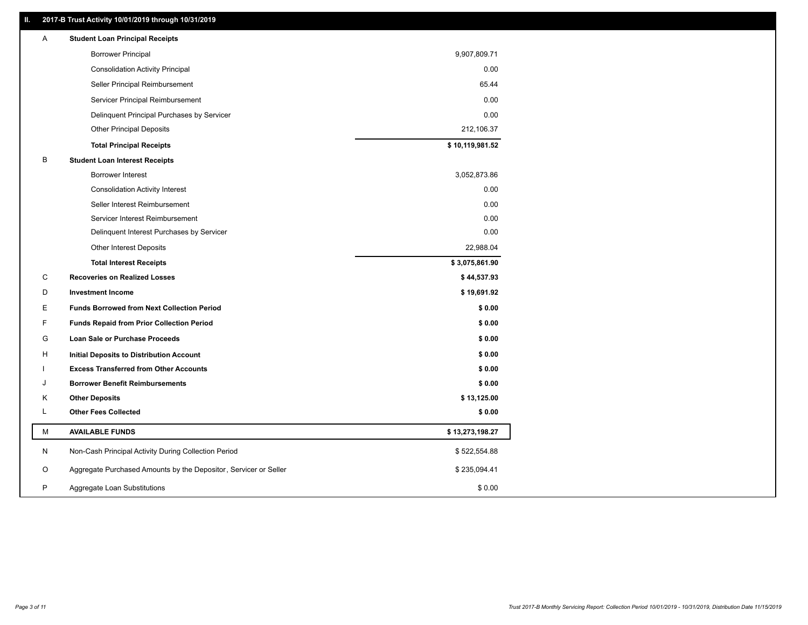### **II. 2017-B Trust Activity 10/01/2019 through 10/31/2019**

| <b>Borrower Principal</b><br>9,907,809.71<br>0.00<br><b>Consolidation Activity Principal</b><br>65.44<br>Seller Principal Reimbursement<br>Servicer Principal Reimbursement<br>0.00<br>0.00<br>Delinquent Principal Purchases by Servicer<br>212,106.37<br><b>Other Principal Deposits</b><br>\$10,119,981.52<br><b>Total Principal Receipts</b><br>В<br><b>Student Loan Interest Receipts</b><br>Borrower Interest<br>3,052,873.86<br>0.00<br><b>Consolidation Activity Interest</b><br>Seller Interest Reimbursement<br>0.00<br>0.00<br>Servicer Interest Reimbursement<br>0.00<br>Delinquent Interest Purchases by Servicer<br>22,988.04<br><b>Other Interest Deposits</b><br>\$3,075,861.90<br><b>Total Interest Receipts</b><br>С<br><b>Recoveries on Realized Losses</b><br>\$44,537.93<br>D<br><b>Investment Income</b><br>\$19,691.92<br>E.<br><b>Funds Borrowed from Next Collection Period</b><br>\$0.00<br>F<br>\$0.00<br><b>Funds Repaid from Prior Collection Period</b><br>\$0.00<br>G<br>Loan Sale or Purchase Proceeds<br>\$0.00<br>H<br>Initial Deposits to Distribution Account<br>\$0.00<br><b>Excess Transferred from Other Accounts</b> |  |
|--------------------------------------------------------------------------------------------------------------------------------------------------------------------------------------------------------------------------------------------------------------------------------------------------------------------------------------------------------------------------------------------------------------------------------------------------------------------------------------------------------------------------------------------------------------------------------------------------------------------------------------------------------------------------------------------------------------------------------------------------------------------------------------------------------------------------------------------------------------------------------------------------------------------------------------------------------------------------------------------------------------------------------------------------------------------------------------------------------------------------------------------------------------|--|
|                                                                                                                                                                                                                                                                                                                                                                                                                                                                                                                                                                                                                                                                                                                                                                                                                                                                                                                                                                                                                                                                                                                                                              |  |
|                                                                                                                                                                                                                                                                                                                                                                                                                                                                                                                                                                                                                                                                                                                                                                                                                                                                                                                                                                                                                                                                                                                                                              |  |
|                                                                                                                                                                                                                                                                                                                                                                                                                                                                                                                                                                                                                                                                                                                                                                                                                                                                                                                                                                                                                                                                                                                                                              |  |
|                                                                                                                                                                                                                                                                                                                                                                                                                                                                                                                                                                                                                                                                                                                                                                                                                                                                                                                                                                                                                                                                                                                                                              |  |
|                                                                                                                                                                                                                                                                                                                                                                                                                                                                                                                                                                                                                                                                                                                                                                                                                                                                                                                                                                                                                                                                                                                                                              |  |
|                                                                                                                                                                                                                                                                                                                                                                                                                                                                                                                                                                                                                                                                                                                                                                                                                                                                                                                                                                                                                                                                                                                                                              |  |
|                                                                                                                                                                                                                                                                                                                                                                                                                                                                                                                                                                                                                                                                                                                                                                                                                                                                                                                                                                                                                                                                                                                                                              |  |
|                                                                                                                                                                                                                                                                                                                                                                                                                                                                                                                                                                                                                                                                                                                                                                                                                                                                                                                                                                                                                                                                                                                                                              |  |
|                                                                                                                                                                                                                                                                                                                                                                                                                                                                                                                                                                                                                                                                                                                                                                                                                                                                                                                                                                                                                                                                                                                                                              |  |
|                                                                                                                                                                                                                                                                                                                                                                                                                                                                                                                                                                                                                                                                                                                                                                                                                                                                                                                                                                                                                                                                                                                                                              |  |
|                                                                                                                                                                                                                                                                                                                                                                                                                                                                                                                                                                                                                                                                                                                                                                                                                                                                                                                                                                                                                                                                                                                                                              |  |
|                                                                                                                                                                                                                                                                                                                                                                                                                                                                                                                                                                                                                                                                                                                                                                                                                                                                                                                                                                                                                                                                                                                                                              |  |
|                                                                                                                                                                                                                                                                                                                                                                                                                                                                                                                                                                                                                                                                                                                                                                                                                                                                                                                                                                                                                                                                                                                                                              |  |
|                                                                                                                                                                                                                                                                                                                                                                                                                                                                                                                                                                                                                                                                                                                                                                                                                                                                                                                                                                                                                                                                                                                                                              |  |
|                                                                                                                                                                                                                                                                                                                                                                                                                                                                                                                                                                                                                                                                                                                                                                                                                                                                                                                                                                                                                                                                                                                                                              |  |
|                                                                                                                                                                                                                                                                                                                                                                                                                                                                                                                                                                                                                                                                                                                                                                                                                                                                                                                                                                                                                                                                                                                                                              |  |
|                                                                                                                                                                                                                                                                                                                                                                                                                                                                                                                                                                                                                                                                                                                                                                                                                                                                                                                                                                                                                                                                                                                                                              |  |
|                                                                                                                                                                                                                                                                                                                                                                                                                                                                                                                                                                                                                                                                                                                                                                                                                                                                                                                                                                                                                                                                                                                                                              |  |
|                                                                                                                                                                                                                                                                                                                                                                                                                                                                                                                                                                                                                                                                                                                                                                                                                                                                                                                                                                                                                                                                                                                                                              |  |
|                                                                                                                                                                                                                                                                                                                                                                                                                                                                                                                                                                                                                                                                                                                                                                                                                                                                                                                                                                                                                                                                                                                                                              |  |
|                                                                                                                                                                                                                                                                                                                                                                                                                                                                                                                                                                                                                                                                                                                                                                                                                                                                                                                                                                                                                                                                                                                                                              |  |
|                                                                                                                                                                                                                                                                                                                                                                                                                                                                                                                                                                                                                                                                                                                                                                                                                                                                                                                                                                                                                                                                                                                                                              |  |
| <b>Borrower Benefit Reimbursements</b><br>\$0.00<br>J                                                                                                                                                                                                                                                                                                                                                                                                                                                                                                                                                                                                                                                                                                                                                                                                                                                                                                                                                                                                                                                                                                        |  |
| <b>Other Deposits</b><br>\$13,125.00<br>Κ                                                                                                                                                                                                                                                                                                                                                                                                                                                                                                                                                                                                                                                                                                                                                                                                                                                                                                                                                                                                                                                                                                                    |  |
| <b>Other Fees Collected</b><br>L<br>\$0.00                                                                                                                                                                                                                                                                                                                                                                                                                                                                                                                                                                                                                                                                                                                                                                                                                                                                                                                                                                                                                                                                                                                   |  |
| М<br><b>AVAILABLE FUNDS</b><br>\$13,273,198.27                                                                                                                                                                                                                                                                                                                                                                                                                                                                                                                                                                                                                                                                                                                                                                                                                                                                                                                                                                                                                                                                                                               |  |
| N<br>Non-Cash Principal Activity During Collection Period<br>\$522,554.88                                                                                                                                                                                                                                                                                                                                                                                                                                                                                                                                                                                                                                                                                                                                                                                                                                                                                                                                                                                                                                                                                    |  |
| Aggregate Purchased Amounts by the Depositor, Servicer or Seller<br>\$235,094.41<br>O                                                                                                                                                                                                                                                                                                                                                                                                                                                                                                                                                                                                                                                                                                                                                                                                                                                                                                                                                                                                                                                                        |  |
| P<br>\$0.00<br>Aggregate Loan Substitutions                                                                                                                                                                                                                                                                                                                                                                                                                                                                                                                                                                                                                                                                                                                                                                                                                                                                                                                                                                                                                                                                                                                  |  |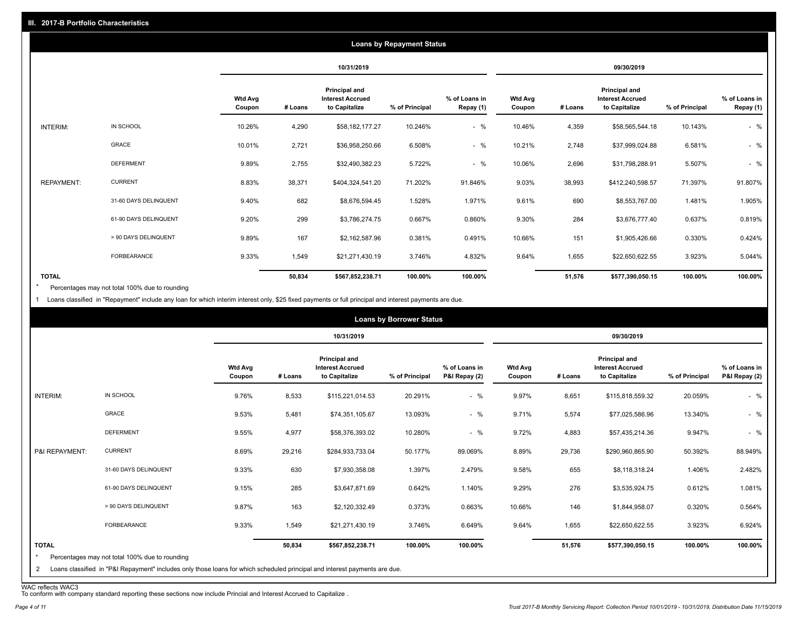|                   | <b>Loans by Repayment Status</b> |                          |         |                                                                  |                |                            |                          |         |                                                           |                |                            |
|-------------------|----------------------------------|--------------------------|---------|------------------------------------------------------------------|----------------|----------------------------|--------------------------|---------|-----------------------------------------------------------|----------------|----------------------------|
|                   |                                  |                          |         | 10/31/2019                                                       |                |                            | 09/30/2019               |         |                                                           |                |                            |
|                   |                                  | <b>Wtd Avg</b><br>Coupon | # Loans | <b>Principal and</b><br><b>Interest Accrued</b><br>to Capitalize | % of Principal | % of Loans in<br>Repay (1) | <b>Wtd Avg</b><br>Coupon | # Loans | Principal and<br><b>Interest Accrued</b><br>to Capitalize | % of Principal | % of Loans in<br>Repay (1) |
| INTERIM:          | IN SCHOOL                        | 10.26%                   | 4,290   | \$58,182,177.27                                                  | 10.246%        | $-$ %                      | 10.46%                   | 4,359   | \$58,565,544.18                                           | 10.143%        | $-$ %                      |
|                   | GRACE                            | 10.01%                   | 2,721   | \$36,958,250.66                                                  | 6.508%         | $-$ %                      | 10.21%                   | 2,748   | \$37,999,024.88                                           | 6.581%         | $-$ %                      |
|                   | <b>DEFERMENT</b>                 | 9.89%                    | 2,755   | \$32,490,382.23                                                  | 5.722%         | $-$ %                      | 10.06%                   | 2,696   | \$31,798,288.91                                           | 5.507%         | $-$ %                      |
| <b>REPAYMENT:</b> | <b>CURRENT</b>                   | 8.83%                    | 38,371  | \$404,324,541.20                                                 | 71.202%        | 91.846%                    | 9.03%                    | 38,993  | \$412,240,598.57                                          | 71.397%        | 91.807%                    |
|                   | 31-60 DAYS DELINQUENT            | 9.40%                    | 682     | \$8,676,594.45                                                   | 1.528%         | 1.971%                     | 9.61%                    | 690     | \$8,553,767.00                                            | 1.481%         | 1.905%                     |
|                   | 61-90 DAYS DELINQUENT            | 9.20%                    | 299     | \$3,786,274.75                                                   | 0.667%         | 0.860%                     | 9.30%                    | 284     | \$3,676,777.40                                            | 0.637%         | 0.819%                     |
|                   | > 90 DAYS DELINQUENT             | 9.89%                    | 167     | \$2,162,587.96                                                   | 0.381%         | 0.491%                     | 10.66%                   | 151     | \$1,905,426.66                                            | 0.330%         | 0.424%                     |
|                   | FORBEARANCE                      | 9.33%                    | 1,549   | \$21,271,430.19                                                  | 3.746%         | 4.832%                     | 9.64%                    | 1,655   | \$22,650,622.55                                           | 3.923%         | 5.044%                     |
| <b>TOTAL</b>      |                                  |                          | 50,834  | \$567,852,238.71                                                 | 100.00%        | 100.00%                    |                          | 51,576  | \$577,390,050.15                                          | 100.00%        | 100.00%                    |

Percentages may not total 100% due to rounding \*

1 Loans classified in "Repayment" include any loan for which interim interest only, \$25 fixed payments or full principal and interest payments are due.

|                              |                                                                                                                                                                              |                          |         |                                                           | <b>Loans by Borrower Status</b> |                                |                          |         |                                                                  |                |                                |
|------------------------------|------------------------------------------------------------------------------------------------------------------------------------------------------------------------------|--------------------------|---------|-----------------------------------------------------------|---------------------------------|--------------------------------|--------------------------|---------|------------------------------------------------------------------|----------------|--------------------------------|
|                              |                                                                                                                                                                              |                          |         | 10/31/2019                                                |                                 |                                | 09/30/2019               |         |                                                                  |                |                                |
|                              |                                                                                                                                                                              | <b>Wtd Avg</b><br>Coupon | # Loans | Principal and<br><b>Interest Accrued</b><br>to Capitalize | % of Principal                  | % of Loans in<br>P&I Repay (2) | <b>Wtd Avg</b><br>Coupon | # Loans | <b>Principal and</b><br><b>Interest Accrued</b><br>to Capitalize | % of Principal | % of Loans in<br>P&I Repay (2) |
| INTERIM:                     | IN SCHOOL                                                                                                                                                                    | 9.76%                    | 8,533   | \$115,221,014.53                                          | 20.291%                         | $-$ %                          | 9.97%                    | 8,651   | \$115,818,559.32                                                 | 20.059%        | $-$ %                          |
|                              | GRACE                                                                                                                                                                        | 9.53%                    | 5,481   | \$74,351,105.67                                           | 13.093%                         | $-$ %                          | 9.71%                    | 5,574   | \$77,025,586.96                                                  | 13.340%        | $-$ %                          |
|                              | <b>DEFERMENT</b>                                                                                                                                                             | 9.55%                    | 4,977   | \$58,376,393.02                                           | 10.280%                         | $-$ %                          | 9.72%                    | 4,883   | \$57,435,214.36                                                  | 9.947%         | $-$ %                          |
| P&I REPAYMENT:               | <b>CURRENT</b>                                                                                                                                                               | 8.69%                    | 29,216  | \$284,933,733.04                                          | 50.177%                         | 89.069%                        | 8.89%                    | 29,736  | \$290,960,865.90                                                 | 50.392%        | 88.949%                        |
|                              | 31-60 DAYS DELINQUENT                                                                                                                                                        | 9.33%                    | 630     | \$7,930,358.08                                            | 1.397%                          | 2.479%                         | 9.58%                    | 655     | \$8,118,318.24                                                   | 1.406%         | 2.482%                         |
|                              | 61-90 DAYS DELINQUENT                                                                                                                                                        | 9.15%                    | 285     | \$3,647,871.69                                            | 0.642%                          | 1.140%                         | 9.29%                    | 276     | \$3,535,924.75                                                   | 0.612%         | 1.081%                         |
|                              | > 90 DAYS DELINQUENT                                                                                                                                                         | 9.87%                    | 163     | \$2,120,332.49                                            | 0.373%                          | 0.663%                         | 10.66%                   | 146     | \$1,844,958.07                                                   | 0.320%         | 0.564%                         |
|                              | <b>FORBEARANCE</b>                                                                                                                                                           | 9.33%                    | 1,549   | \$21,271,430.19                                           | 3.746%                          | 6.649%                         | 9.64%                    | 1,655   | \$22,650,622.55                                                  | 3.923%         | 6.924%                         |
| <b>TOTAL</b><br>$\star$<br>2 | Percentages may not total 100% due to rounding<br>Loans classified in "P&I Repayment" includes only those loans for which scheduled principal and interest payments are due. |                          | 50,834  | \$567,852,238.71                                          | 100.00%                         | 100.00%                        |                          | 51,576  | \$577,390,050.15                                                 | 100.00%        | 100.00%                        |

WAC reflects WAC3 To conform with company standard reporting these sections now include Princial and Interest Accrued to Capitalize .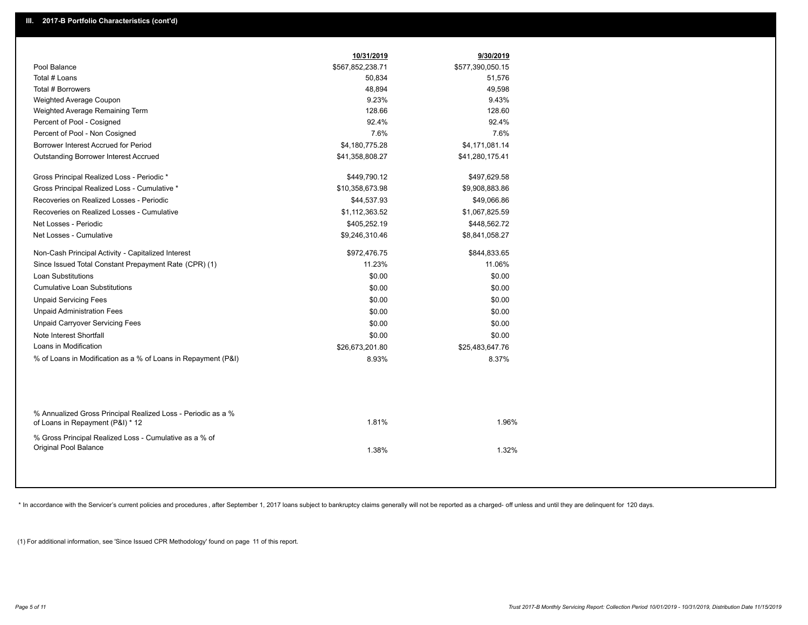|                                                                                                  | 10/31/2019       | 9/30/2019        |
|--------------------------------------------------------------------------------------------------|------------------|------------------|
| Pool Balance                                                                                     | \$567,852,238.71 | \$577,390,050.15 |
| Total # Loans                                                                                    | 50,834           | 51,576           |
| Total # Borrowers                                                                                | 48,894           | 49,598           |
| Weighted Average Coupon                                                                          | 9.23%            | 9.43%            |
| Weighted Average Remaining Term                                                                  | 128.66           | 128.60           |
| Percent of Pool - Cosigned                                                                       | 92.4%            | 92.4%            |
| Percent of Pool - Non Cosigned                                                                   | 7.6%             | 7.6%             |
| Borrower Interest Accrued for Period                                                             | \$4,180,775.28   | \$4,171,081.14   |
| Outstanding Borrower Interest Accrued                                                            | \$41,358,808.27  | \$41,280,175.41  |
| Gross Principal Realized Loss - Periodic *                                                       | \$449,790.12     | \$497,629.58     |
| Gross Principal Realized Loss - Cumulative *                                                     | \$10,358,673.98  | \$9,908,883.86   |
| Recoveries on Realized Losses - Periodic                                                         | \$44,537.93      | \$49,066.86      |
| Recoveries on Realized Losses - Cumulative                                                       | \$1,112,363.52   | \$1,067,825.59   |
| Net Losses - Periodic                                                                            | \$405,252.19     | \$448,562.72     |
| Net Losses - Cumulative                                                                          | \$9,246,310.46   | \$8,841,058.27   |
| Non-Cash Principal Activity - Capitalized Interest                                               | \$972,476.75     | \$844,833.65     |
| Since Issued Total Constant Prepayment Rate (CPR) (1)                                            | 11.23%           | 11.06%           |
| <b>Loan Substitutions</b>                                                                        | \$0.00           | \$0.00           |
| <b>Cumulative Loan Substitutions</b>                                                             | \$0.00           | \$0.00           |
| <b>Unpaid Servicing Fees</b>                                                                     | \$0.00           | \$0.00           |
| <b>Unpaid Administration Fees</b>                                                                | \$0.00           | \$0.00           |
| <b>Unpaid Carryover Servicing Fees</b>                                                           | \$0.00           | \$0.00           |
| Note Interest Shortfall                                                                          | \$0.00           | \$0.00           |
| Loans in Modification                                                                            | \$26,673,201.80  | \$25,483,647.76  |
| % of Loans in Modification as a % of Loans in Repayment (P&I)                                    | 8.93%            | 8.37%            |
|                                                                                                  |                  |                  |
| % Annualized Gross Principal Realized Loss - Periodic as a %<br>of Loans in Repayment (P&I) * 12 | 1.81%            | 1.96%            |
| % Gross Principal Realized Loss - Cumulative as a % of<br>Original Pool Balance                  | 1.38%            | 1.32%            |
|                                                                                                  |                  |                  |

\* In accordance with the Servicer's current policies and procedures, after September 1, 2017 loans subject to bankruptcy claims generally will not be reported as a charged- off unless and until they are delinquent for 120

(1) For additional information, see 'Since Issued CPR Methodology' found on page 11 of this report.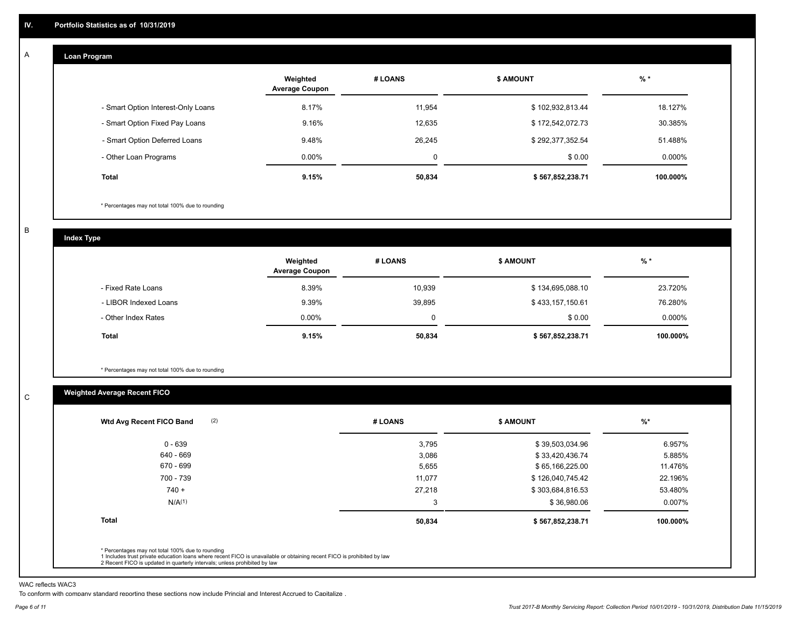#### **Loan Program**  A

|                                    | Weighted<br><b>Average Coupon</b> | # LOANS     | <b>\$ AMOUNT</b> | $%$ *    |
|------------------------------------|-----------------------------------|-------------|------------------|----------|
| - Smart Option Interest-Only Loans | 8.17%                             | 11.954      | \$102,932,813.44 | 18.127%  |
| - Smart Option Fixed Pay Loans     | 9.16%                             | 12,635      | \$172,542,072.73 | 30.385%  |
| - Smart Option Deferred Loans      | 9.48%                             | 26,245      | \$292,377,352.54 | 51.488%  |
| - Other Loan Programs              | $0.00\%$                          | $\mathbf 0$ | \$0.00           | 0.000%   |
| <b>Total</b>                       | 9.15%                             | 50,834      | \$567,852,238.71 | 100.000% |

\* Percentages may not total 100% due to rounding

B

C

**Index Type**

|                       | Weighted<br><b>Average Coupon</b> | # LOANS  | <b>\$ AMOUNT</b> | $%$ *     |
|-----------------------|-----------------------------------|----------|------------------|-----------|
| - Fixed Rate Loans    | 8.39%                             | 10.939   | \$134,695,088.10 | 23.720%   |
| - LIBOR Indexed Loans | 9.39%                             | 39,895   | \$433,157,150.61 | 76.280%   |
| - Other Index Rates   | $0.00\%$                          | $\Omega$ | \$0.00           | $0.000\%$ |
| Total                 | 9.15%                             | 50,834   | \$567,852,238.71 | 100.000%  |

\* Percentages may not total 100% due to rounding

### **Weighted Average Recent FICO**

| $0 - 639$          |        |                  |          |
|--------------------|--------|------------------|----------|
|                    | 3,795  | \$39,503,034.96  | 6.957%   |
| 640 - 669          | 3,086  | \$33,420,436.74  | 5.885%   |
| 670 - 699          | 5,655  | \$65,166,225.00  | 11.476%  |
| 700 - 739          | 11,077 | \$126,040,745.42 | 22.196%  |
| $740 +$            | 27,218 | \$303,684,816.53 | 53.480%  |
| N/A <sup>(1)</sup> | 3      | \$36,980.06      | 0.007%   |
| <b>Total</b>       | 50,834 | \$567,852,238.71 | 100.000% |

WAC reflects WAC3

To conform with company standard reporting these sections now include Princial and Interest Accrued to Capitalize .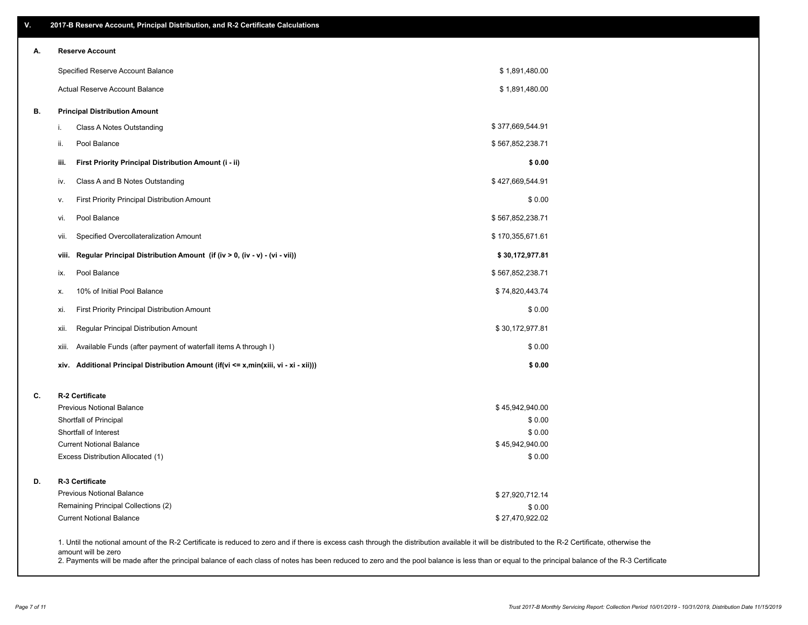| ۷. | 2017-B Reserve Account, Principal Distribution, and R-2 Certificate Calculations                                                                                                                                          |                  |  |
|----|---------------------------------------------------------------------------------------------------------------------------------------------------------------------------------------------------------------------------|------------------|--|
| А. | <b>Reserve Account</b>                                                                                                                                                                                                    |                  |  |
|    | Specified Reserve Account Balance                                                                                                                                                                                         | \$1,891,480.00   |  |
|    | Actual Reserve Account Balance                                                                                                                                                                                            | \$1,891,480.00   |  |
| В. | <b>Principal Distribution Amount</b>                                                                                                                                                                                      |                  |  |
|    | Class A Notes Outstanding<br>i.                                                                                                                                                                                           | \$377,669,544.91 |  |
|    | Pool Balance<br>ii.                                                                                                                                                                                                       | \$567,852,238.71 |  |
|    | First Priority Principal Distribution Amount (i - ii)<br>iii.                                                                                                                                                             | \$0.00           |  |
|    | Class A and B Notes Outstanding<br>iv.                                                                                                                                                                                    | \$427,669,544.91 |  |
|    | First Priority Principal Distribution Amount<br>v.                                                                                                                                                                        | \$0.00           |  |
|    | Pool Balance<br>vi.                                                                                                                                                                                                       | \$567,852,238.71 |  |
|    | Specified Overcollateralization Amount<br>vii.                                                                                                                                                                            | \$170,355,671.61 |  |
|    | Regular Principal Distribution Amount (if (iv > 0, (iv - v) - (vi - vii))<br>viii.                                                                                                                                        | \$30,172,977.81  |  |
|    | Pool Balance<br>ix.                                                                                                                                                                                                       | \$567,852,238.71 |  |
|    | 10% of Initial Pool Balance<br>х.                                                                                                                                                                                         | \$74,820,443.74  |  |
|    | First Priority Principal Distribution Amount<br>xi.                                                                                                                                                                       | \$0.00           |  |
|    | Regular Principal Distribution Amount<br>xii.                                                                                                                                                                             | \$30,172,977.81  |  |
|    | Available Funds (after payment of waterfall items A through I)<br>xiii.                                                                                                                                                   | \$0.00           |  |
|    | Additional Principal Distribution Amount (if(vi <= x,min(xiii, vi - xi - xii)))<br>xiv.                                                                                                                                   | \$0.00           |  |
| C. | R-2 Certificate                                                                                                                                                                                                           |                  |  |
|    | <b>Previous Notional Balance</b>                                                                                                                                                                                          | \$45,942,940.00  |  |
|    | Shortfall of Principal                                                                                                                                                                                                    | \$0.00           |  |
|    | Shortfall of Interest                                                                                                                                                                                                     | \$0.00           |  |
|    | <b>Current Notional Balance</b>                                                                                                                                                                                           | \$45,942,940.00  |  |
|    | Excess Distribution Allocated (1)                                                                                                                                                                                         | \$0.00           |  |
| D. | R-3 Certificate                                                                                                                                                                                                           |                  |  |
|    | <b>Previous Notional Balance</b>                                                                                                                                                                                          | \$27,920,712.14  |  |
|    | Remaining Principal Collections (2)                                                                                                                                                                                       | \$0.00           |  |
|    | <b>Current Notional Balance</b>                                                                                                                                                                                           | \$27,470,922.02  |  |
|    | 1. Until the notional amount of the R-2 Certificate is reduced to zero and if there is excess cash through the distribution available it will be distributed to the R-2 Certificate, otherwise the<br>amount will be zero |                  |  |

2. Payments will be made after the principal balance of each class of notes has been reduced to zero and the pool balance is less than or equal to the principal balance of the R-3 Certificate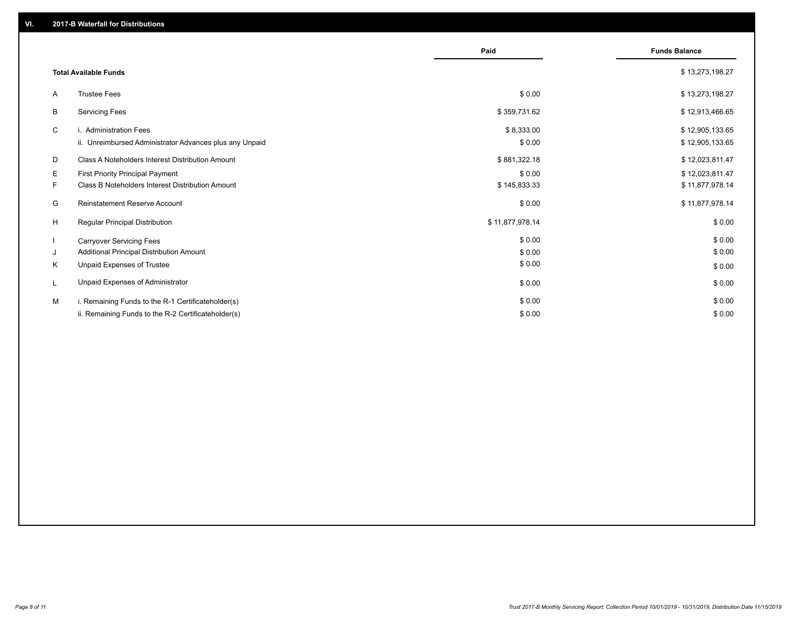|    |                                                         | Paid            | <b>Funds Balance</b> |
|----|---------------------------------------------------------|-----------------|----------------------|
|    | <b>Total Available Funds</b>                            |                 | \$13,273,198.27      |
| A  | <b>Trustee Fees</b>                                     | \$0.00          | \$13,273,198.27      |
| B  | <b>Servicing Fees</b>                                   | \$359,731.62    | \$12,913,466.65      |
| C  | i. Administration Fees                                  | \$8,333.00      | \$12,905,133.65      |
|    | ii. Unreimbursed Administrator Advances plus any Unpaid | \$0.00          | \$12,905,133.65      |
| D  | Class A Noteholders Interest Distribution Amount        | \$881,322.18    | \$12,023,811.47      |
| E. | First Priority Principal Payment                        | \$0.00          | \$12,023,811.47      |
| F. | Class B Noteholders Interest Distribution Amount        | \$145,833.33    | \$11,877,978.14      |
| G  | Reinstatement Reserve Account                           | \$0.00          | \$11,877,978.14      |
| H  | <b>Regular Principal Distribution</b>                   | \$11,877,978.14 | \$0.00               |
|    | <b>Carryover Servicing Fees</b>                         | \$0.00          | \$0.00               |
| J  | Additional Principal Distribution Amount                | \$0.00          | \$0.00               |
| K  | Unpaid Expenses of Trustee                              | \$0.00          | \$0.00               |
|    | Unpaid Expenses of Administrator                        | \$0.00          | \$0.00               |
| M  | i. Remaining Funds to the R-1 Certificateholder(s)      | \$0.00          | \$0.00               |
|    | ii. Remaining Funds to the R-2 Certificateholder(s)     | \$0.00          | \$0.00               |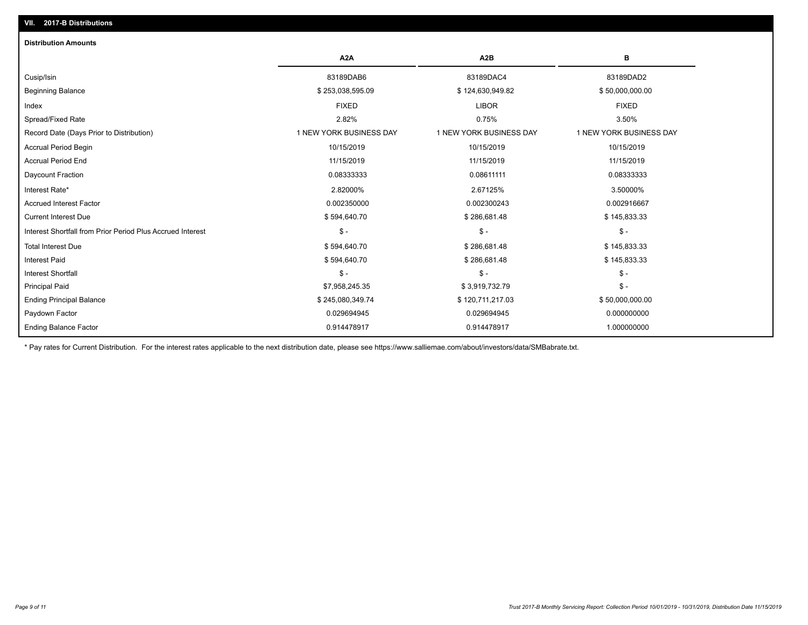| <b>Distribution Amounts</b>                                |                         |                         |                         |
|------------------------------------------------------------|-------------------------|-------------------------|-------------------------|
|                                                            | A <sub>2</sub> A        | A <sub>2</sub> B        | в                       |
| Cusip/Isin                                                 | 83189DAB6               | 83189DAC4               | 83189DAD2               |
| <b>Beginning Balance</b>                                   | \$253,038,595.09        | \$124,630,949.82        | \$50,000,000.00         |
| Index                                                      | <b>FIXED</b>            | <b>LIBOR</b>            | <b>FIXED</b>            |
| Spread/Fixed Rate                                          | 2.82%                   | 0.75%                   | 3.50%                   |
| Record Date (Days Prior to Distribution)                   | 1 NEW YORK BUSINESS DAY | 1 NEW YORK BUSINESS DAY | 1 NEW YORK BUSINESS DAY |
| <b>Accrual Period Begin</b>                                | 10/15/2019              | 10/15/2019              | 10/15/2019              |
| <b>Accrual Period End</b>                                  | 11/15/2019              | 11/15/2019              | 11/15/2019              |
| Daycount Fraction                                          | 0.08333333              | 0.08611111              | 0.08333333              |
| Interest Rate*                                             | 2.82000%                | 2.67125%                | 3.50000%                |
| <b>Accrued Interest Factor</b>                             | 0.002350000             | 0.002300243             | 0.002916667             |
| <b>Current Interest Due</b>                                | \$594,640.70            | \$286,681.48            | \$145,833.33            |
| Interest Shortfall from Prior Period Plus Accrued Interest | $\mathcal{S}$ -         | $\frac{1}{2}$           | $$ -$                   |
| <b>Total Interest Due</b>                                  | \$594,640.70            | \$286,681.48            | \$145,833.33            |
| Interest Paid                                              | \$594,640.70            | \$286,681.48            | \$145,833.33            |
| <b>Interest Shortfall</b>                                  | $\frac{1}{2}$           | $\mathsf{\$}$ -         | $$ -$                   |
| <b>Principal Paid</b>                                      | \$7,958,245.35          | \$3,919,732.79          | $$ -$                   |
| <b>Ending Principal Balance</b>                            | \$245,080,349.74        | \$120,711,217.03        | \$50,000,000.00         |
| Paydown Factor                                             | 0.029694945             | 0.029694945             | 0.000000000             |
| <b>Ending Balance Factor</b>                               | 0.914478917             | 0.914478917             | 1.000000000             |

\* Pay rates for Current Distribution. For the interest rates applicable to the next distribution date, please see https://www.salliemae.com/about/investors/data/SMBabrate.txt.

**VII. 2017-B Distributions**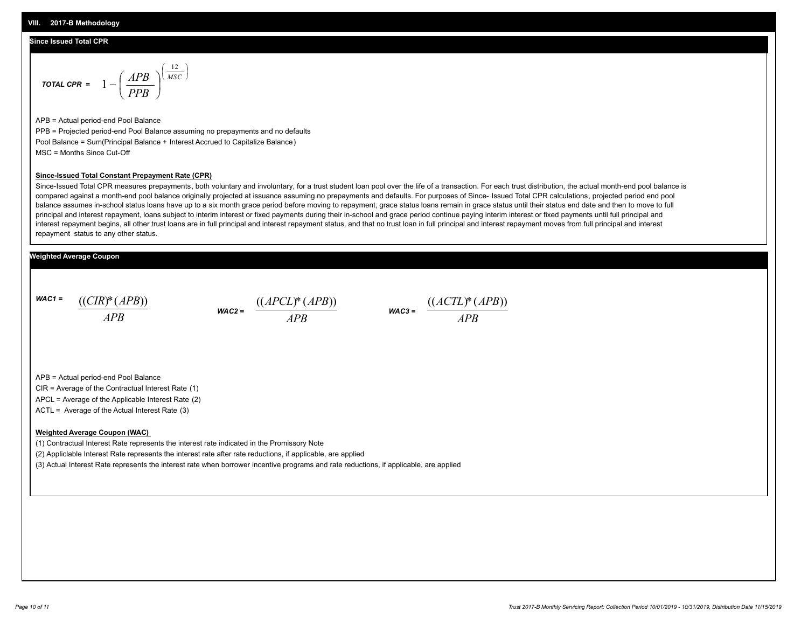#### **Since Issued Total CPR**

$$
\text{total CPR} = 1 - \left(\frac{APB}{PPB}\right)^{\left(\frac{12}{MSC}\right)}
$$

APB = Actual period-end Pool Balance PPB = Projected period-end Pool Balance assuming no prepayments and no defaults Pool Balance = Sum(Principal Balance + Interest Accrued to Capitalize Balance) MSC = Months Since Cut-Off

#### **Since-Issued Total Constant Prepayment Rate (CPR)**

Since-Issued Total CPR measures prepayments, both voluntary and involuntary, for a trust student loan pool over the life of a transaction. For each trust distribution, the actual month-end pool balance is compared against a month-end pool balance originally projected at issuance assuming no prepayments and defaults. For purposes of Since- Issued Total CPR calculations, projected period end pool balance assumes in-school status loans have up to a six month grace period before moving to repayment, grace status loans remain in grace status until their status end date and then to move to full principal and interest repayment, loans subject to interim interest or fixed payments during their in-school and grace period continue paying interim interest or fixed payments until full principal and interest repayment begins, all other trust loans are in full principal and interest repayment status, and that no trust loan in full principal and interest repayment moves from full principal and interest repayment status to any other status.

#### **Weighted Average Coupon**

*WAC1 = APB* ((*CIR*)\*(*APB*))

*WAC2 = APB*  $\frac{((APCL)^{*}(APB))}{APB}$  wac<sub>3</sub> =  $\frac{((ACTL)^{*}(A)P}{APB}$ 



APB = Actual period-end Pool Balance

CIR = Average of the Contractual Interest Rate (1)

APCL = Average of the Applicable Interest Rate (2)

ACTL = Average of the Actual Interest Rate (3)

#### **Weighted Average Coupon (WAC)**

(1) Contractual Interest Rate represents the interest rate indicated in the Promissory Note

(2) Appliclable Interest Rate represents the interest rate after rate reductions, if applicable, are applied

(3) Actual Interest Rate represents the interest rate when borrower incentive programs and rate reductions, if applicable, are applied